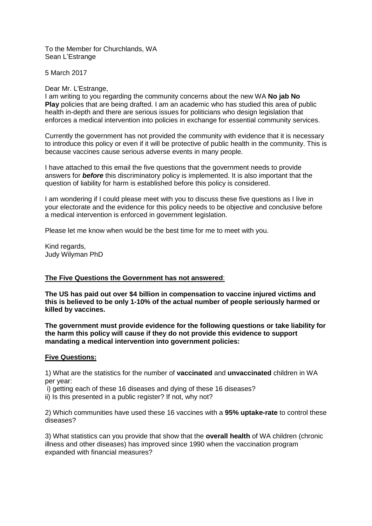To the Member for Churchlands, WA Sean L'Estrange

5 March 2017

## Dear Mr. L'Estrange,

I am writing to you regarding the community concerns about the new WA **No jab No Play** policies that are being drafted. I am an academic who has studied this area of public health in-depth and there are serious issues for politicians who design legislation that enforces a medical intervention into policies in exchange for essential community services.

Currently the government has not provided the community with evidence that it is necessary to introduce this policy or even if it will be protective of public health in the community. This is because vaccines cause serious adverse events in many people.

I have attached to this email the five questions that the government needs to provide answers for *before* this discriminatory policy is implemented. It is also important that the question of liability for harm is established before this policy is considered.

I am wondering if I could please meet with you to discuss these five questions as I live in your electorate and the evidence for this policy needs to be objective and conclusive before a medical intervention is enforced in government legislation.

Please let me know when would be the best time for me to meet with you.

Kind regards, Judy Wilyman PhD

# **The Five Questions the Government has not answered**:

**The US has paid out over \$4 billion in compensation to vaccine injured victims and this is believed to be only 1-10% of the actual number of people seriously harmed or killed by vaccines.**

**The government must provide evidence for the following questions or take liability for the harm this policy will cause if they do not provide this evidence to support mandating a medical intervention into government policies:**

### **Five Questions:**

1) What are the statistics for the number of **vaccinated** and **unvaccinated** children in WA per year:

i) getting each of these 16 diseases and dying of these 16 diseases?

ii) Is this presented in a public register? If not, why not?

2) Which communities have used these 16 vaccines with a **95% uptake-rate** to control these diseases?

3) What statistics can you provide that show that the **overall health** of WA children (chronic illness and other diseases) has improved since 1990 when the vaccination program expanded with financial measures?